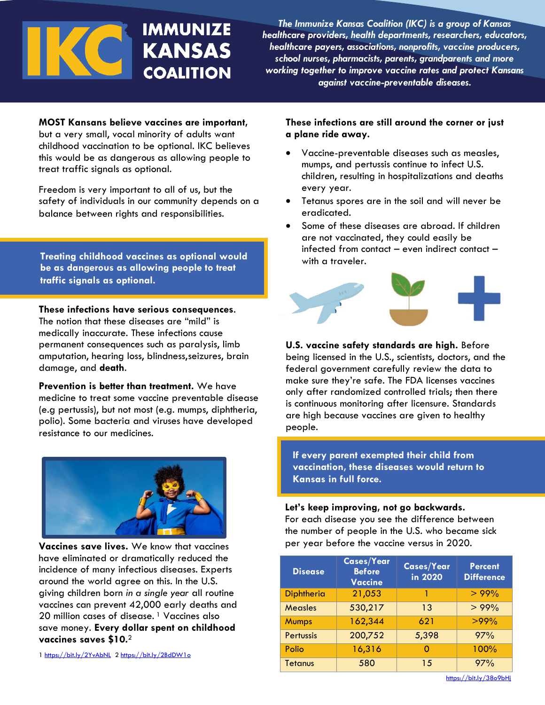# **IMMUNIZE KANSAS COALITION**

*The Immunize Kansas Coalition (IKC) is a group of Kansas healthcare providers, health departments, researchers, educators, healthcare payers, associations, nonprofits, vaccine producers, school nurses, pharmacists, parents, grandparents and more working together to improve vaccine rates and protect Kansans against vaccine-preventable diseases.*

# **MOST Kansans believe vaccines are important,**

but a very small, vocal minority of adults want childhood vaccination to be optional. IKC believes this would be as dangerous as allowing people to treat traffic signals as optional.

Freedom is very important to all of us, but the safety of individuals in our community depends on a balance between rights and responsibilities.

**Treating childhood vaccines as optional would be as dangerous as allowing people to treat traffic signals as optional.**

**These infections have serious consequences**. The notion that these diseases are "mild" is medically inaccurate. These infections cause permanent consequences such as paralysis, limb amputation, hearing loss, blindness,seizures, brain damage, and **death**.

**Prevention is better than treatment.** We have medicine to treat some vaccine preventable disease (e.g pertussis), but not most (e.g. mumps, diphtheria, polio). Some bacteria and viruses have developed resistance to our medicines.



**Vaccines save lives.** We know that vaccines have eliminated or dramatically reduced the incidence of many infectious diseases. Experts around the world agree on this. In the U.S. giving children born *in a single year* all routine vaccines can prevent 42,000 early deaths and 20 million cases of disease.<sup>1</sup> Vaccines also save money. **Every dollar spent on childhood vaccines saves \$10.**<sup>2</sup>

1<https://bit.ly/2YvAbNL>[2 https://bit.ly/2BdDW1o](https://bit.ly/2BdDW1o)

# **These infections are still around the corner or just a plane ride away.**

- Vaccine-preventable diseases such as measles, mumps, and pertussis continue to infect U.S. children, resulting in hospitalizations and deaths every year.
- Tetanus spores are in the soil and will never be eradicated.
- Some of these diseases are abroad. If children are not vaccinated, they could easily be infected from contact – even indirect contact – with a traveler.



**U.S. vaccine safety standards are high.** Before being licensed in the U.S., scientists, doctors, and the federal government carefully review the data to make sure they're safe. The FDA licenses vaccines only after randomized controlled trials; then there is continuous monitoring after licensure. Standards are high because vaccines are given to healthy people.

**If every parent exempted their child from vaccination, these diseases would return to Kansas in full force.**

## **Let's keep improving, not go backwards.**

For each disease you see the difference between the number of people in the U.S. who became sick per year before the vaccine versus in 2020.

| <b>Disease</b>   | <b>Cases/Year</b><br><b>Before</b><br><b>Vaccine</b> | <b>Cases/Year</b><br>in 2020 | <b>Percent</b><br><b>Difference</b> |
|------------------|------------------------------------------------------|------------------------------|-------------------------------------|
| Diphtheria       | 21,053                                               |                              | >99%                                |
| <b>Measles</b>   | 530,217                                              | 13                           | >99%                                |
| <b>Mumps</b>     | 162,344                                              | 621                          | $>99\%$                             |
| <b>Pertussis</b> | 200,752                                              | 5,398                        | 97%                                 |
| Polio            | 16,316                                               | O                            | 100%                                |
| <b>Tetanus</b>   | 580                                                  | 15                           | 97%                                 |

<https://bit.ly/38o9bHj>